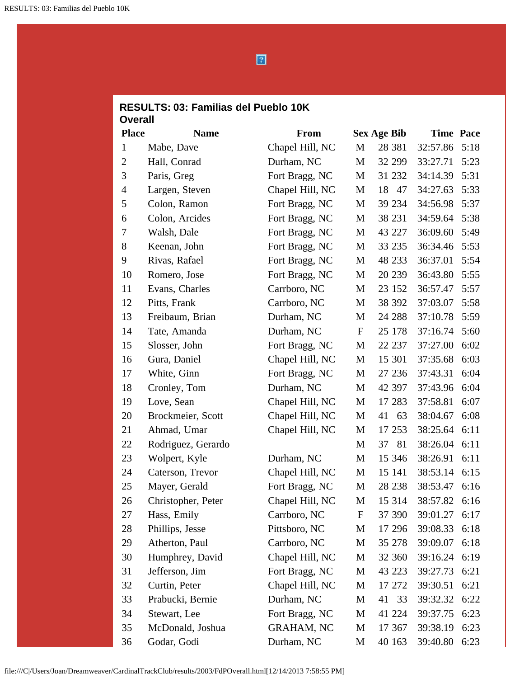$\boxed{2}$ 

## **RESULTS: 03: Familias del Pueblo 10K Overall**

| <b>Place</b>   | <b>Name</b>        | <b>From</b>       |                           | <b>Sex Age Bib</b> | <b>Time Pace</b> |      |
|----------------|--------------------|-------------------|---------------------------|--------------------|------------------|------|
| $\mathbf{1}$   | Mabe, Dave         | Chapel Hill, NC   | M                         | 28 381             | 32:57.86         | 5:18 |
| $\overline{2}$ | Hall, Conrad       | Durham, NC        | M                         | 32 299             | 33:27.71         | 5:23 |
| 3              | Paris, Greg        | Fort Bragg, NC    | M                         | 31 232             | 34:14.39         | 5:31 |
| $\overline{4}$ | Largen, Steven     | Chapel Hill, NC   | M                         | 18<br>47           | 34:27.63         | 5:33 |
| 5              | Colon, Ramon       | Fort Bragg, NC    | M                         | 39 234             | 34:56.98         | 5:37 |
| 6              | Colon, Arcides     | Fort Bragg, NC    | M                         | 38 231             | 34:59.64         | 5:38 |
| 7              | Walsh, Dale        | Fort Bragg, NC    | M                         | 43 227             | 36:09.60         | 5:49 |
| 8              | Keenan, John       | Fort Bragg, NC    | M                         | 33 235             | 36:34.46         | 5:53 |
| 9              | Rivas, Rafael      | Fort Bragg, NC    | M                         | 48 233             | 36:37.01         | 5:54 |
| 10             | Romero, Jose       | Fort Bragg, NC    | M                         | 20 239             | 36:43.80         | 5:55 |
| 11             | Evans, Charles     | Carrboro, NC      | M                         | 23 152             | 36:57.47         | 5:57 |
| 12             | Pitts, Frank       | Carrboro, NC      | M                         | 38 392             | 37:03.07         | 5:58 |
| 13             | Freibaum, Brian    | Durham, NC        | M                         | 24 288             | 37:10.78         | 5:59 |
| 14             | Tate, Amanda       | Durham, NC        | $\boldsymbol{\mathrm{F}}$ | 25 178             | 37:16.74         | 5:60 |
| 15             | Slosser, John      | Fort Bragg, NC    | M                         | 22 237             | 37:27.00         | 6:02 |
| 16             | Gura, Daniel       | Chapel Hill, NC   | M                         | 15 301             | 37:35.68         | 6:03 |
| 17             | White, Ginn        | Fort Bragg, NC    | M                         | 27 236             | 37:43.31         | 6:04 |
| 18             | Cronley, Tom       | Durham, NC        | M                         | 42 397             | 37:43.96         | 6:04 |
| 19             | Love, Sean         | Chapel Hill, NC   | M                         | 17 283             | 37:58.81         | 6:07 |
| 20             | Brockmeier, Scott  | Chapel Hill, NC   | M                         | 41<br>63           | 38:04.67         | 6:08 |
| 21             | Ahmad, Umar        | Chapel Hill, NC   | M                         | 17 253             | 38:25.64         | 6:11 |
| 22             | Rodriguez, Gerardo |                   | M                         | 81<br>37           | 38:26.04         | 6:11 |
| 23             | Wolpert, Kyle      | Durham, NC        | M                         | 15 346             | 38:26.91         | 6:11 |
| 24             | Caterson, Trevor   | Chapel Hill, NC   | M                         | 15 141             | 38:53.14         | 6:15 |
| 25             | Mayer, Gerald      | Fort Bragg, NC    | M                         | 28 238             | 38:53.47         | 6:16 |
| 26             | Christopher, Peter | Chapel Hill, NC   | $\mathbf{M}$              | 15 3 14            | 38:57.82         | 6:16 |
| 27             | Hass, Emily        | Carrboro, NC      | F                         | 37 390             | 39:01.27         | 6:17 |
| 28             | Phillips, Jesse    | Pittsboro, NC     | M                         | 17 29 6            | 39:08.33         | 6:18 |
| 29             | Atherton, Paul     | Carrboro, NC      | M                         | 35 278             | 39:09.07         | 6:18 |
| 30             | Humphrey, David    | Chapel Hill, NC   | M                         | 32 360             | 39:16.24         | 6:19 |
| 31             | Jefferson, Jim     | Fort Bragg, NC    | M                         | 43 223             | 39:27.73         | 6:21 |
| 32             | Curtin, Peter      | Chapel Hill, NC   | M                         | 17 272             | 39:30.51         | 6:21 |
| 33             | Prabucki, Bernie   | Durham, NC        | M                         | 41<br>33           | 39:32.32         | 6:22 |
| 34             | Stewart, Lee       | Fort Bragg, NC    | M                         | 41 224             | 39:37.75         | 6:23 |
| 35             | McDonald, Joshua   | <b>GRAHAM, NC</b> | M                         | 17 367             | 39:38.19         | 6:23 |
| 36             | Godar, Godi        | Durham, NC        | M                         | 40 163             | 39:40.80         | 6:23 |

file:///C|/Users/Joan/Dreamweaver/CardinalTrackClub/results/2003/FdPOverall.html[12/14/2013 7:58:55 PM]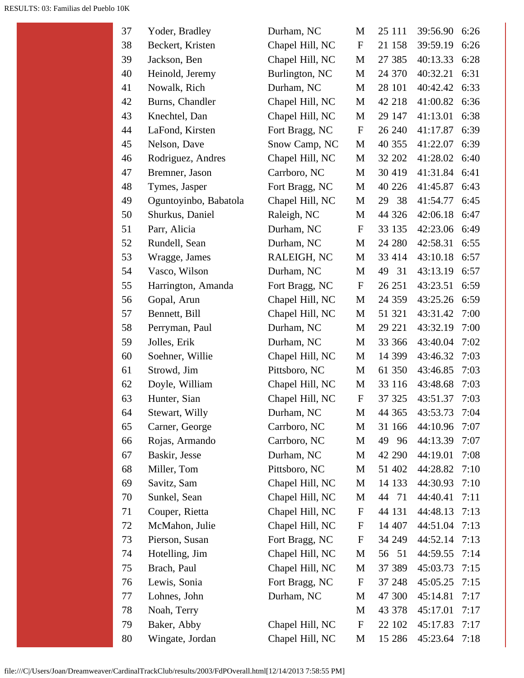| 37 | Yoder, Bradley        | Durham, NC      | М                         | 25 111    | 39:56.90 | 6:26 |
|----|-----------------------|-----------------|---------------------------|-----------|----------|------|
| 38 | Beckert, Kristen      | Chapel Hill, NC | ${\bf F}$                 | 21 158    | 39:59.19 | 6:26 |
| 39 | Jackson, Ben          | Chapel Hill, NC | M                         | 27 385    | 40:13.33 | 6:28 |
| 40 | Heinold, Jeremy       | Burlington, NC  | M                         | 24 370    | 40:32.21 | 6:31 |
| 41 | Nowalk, Rich          | Durham, NC      | M                         | 28 101    | 40:42.42 | 6:33 |
| 42 | Burns, Chandler       | Chapel Hill, NC | M                         | 42 218    | 41:00.82 | 6:36 |
| 43 | Knechtel, Dan         | Chapel Hill, NC | M                         | 29 147    | 41:13.01 | 6:38 |
| 44 | LaFond, Kirsten       | Fort Bragg, NC  | $\mathbf{F}$              | 26 240    | 41:17.87 | 6:39 |
| 45 | Nelson, Dave          | Snow Camp, NC   | M                         | 40 355    | 41:22.07 | 6:39 |
| 46 | Rodriguez, Andres     | Chapel Hill, NC | M                         | 32 202    | 41:28.02 | 6:40 |
| 47 | Bremner, Jason        | Carrboro, NC    | M                         | 30 419    | 41:31.84 | 6:41 |
| 48 | Tymes, Jasper         | Fort Bragg, NC  | M                         | 40 226    | 41:45.87 | 6:43 |
| 49 | Oguntoyinbo, Babatola | Chapel Hill, NC | M                         | 38<br>29  | 41:54.77 | 6:45 |
| 50 | Shurkus, Daniel       | Raleigh, NC     | M                         | 44 326    | 42:06.18 | 6:47 |
| 51 | Parr, Alicia          | Durham, NC      | $\mathbf{F}$              | 33 135    | 42:23.06 | 6:49 |
| 52 | Rundell, Sean         | Durham, NC      | M                         | 24 280    | 42:58.31 | 6:55 |
| 53 | Wragge, James         | RALEIGH, NC     | M                         | 33 414    | 43:10.18 | 6:57 |
| 54 | Vasco, Wilson         | Durham, NC      | M                         | 49<br>31  | 43:13.19 | 6:57 |
| 55 | Harrington, Amanda    | Fort Bragg, NC  | $\mathbf{F}$              | 26 251    | 43:23.51 | 6:59 |
| 56 | Gopal, Arun           | Chapel Hill, NC | M                         | 24 3 5 9  | 43:25.26 | 6:59 |
| 57 | Bennett, Bill         | Chapel Hill, NC | M                         | 51 321    | 43:31.42 | 7:00 |
| 58 | Perryman, Paul        | Durham, NC      | M                         | 29 221    | 43:32.19 | 7:00 |
| 59 | Jolles, Erik          | Durham, NC      | $\mathbf M$               | 33 366    | 43:40.04 | 7:02 |
| 60 | Soehner, Willie       | Chapel Hill, NC | M                         | 14 399    | 43:46.32 | 7:03 |
| 61 | Strowd, Jim           | Pittsboro, NC   | M                         | 61 350    | 43:46.85 | 7:03 |
| 62 | Doyle, William        | Chapel Hill, NC | M                         | 33 116    | 43:48.68 | 7:03 |
| 63 | Hunter, Sian          | Chapel Hill, NC | $\mathbf F$               | 37 325    | 43:51.37 | 7:03 |
| 64 | Stewart, Willy        | Durham, NC      | $\mathbf{M}$              | 44 365    | 43:53.73 | 7:04 |
| 65 | Carner, George        | Carrboro, NC    | M                         | 31 166    | 44:10.96 | 7:07 |
| 66 | Rojas, Armando        | Carrboro, NC    | M                         | 49<br>-96 | 44:13.39 | 7:07 |
| 67 | Baskir, Jesse         | Durham, NC      | M                         | 42 290    | 44:19.01 | 7:08 |
| 68 | Miller, Tom           | Pittsboro, NC   | M                         | 51 402    | 44:28.82 | 7:10 |
| 69 | Savitz, Sam           | Chapel Hill, NC | M                         | 14 133    | 44:30.93 | 7:10 |
| 70 | Sunkel, Sean          | Chapel Hill, NC | M                         | 44 71     | 44:40.41 | 7:11 |
| 71 | Couper, Rietta        | Chapel Hill, NC | ${\bf F}$                 | 44 131    | 44:48.13 | 7:13 |
| 72 | McMahon, Julie        | Chapel Hill, NC | $\mathbf F$               | 14 407    | 44:51.04 | 7:13 |
| 73 | Pierson, Susan        | Fort Bragg, NC  | F                         | 34 249    | 44:52.14 | 7:13 |
| 74 | Hotelling, Jim        | Chapel Hill, NC | M                         | 56 51     | 44:59.55 | 7:14 |
| 75 | Brach, Paul           | Chapel Hill, NC | M                         | 37 389    | 45:03.73 | 7:15 |
| 76 | Lewis, Sonia          | Fort Bragg, NC  | $\mathbf F$               | 37 248    | 45:05.25 | 7:15 |
| 77 | Lohnes, John          | Durham, NC      | M                         | 47 300    | 45:14.81 | 7:17 |
| 78 | Noah, Terry           |                 | M                         | 43 378    | 45:17.01 | 7:17 |
| 79 | Baker, Abby           | Chapel Hill, NC | $\boldsymbol{\mathrm{F}}$ | 22 102    | 45:17.83 | 7:17 |
| 80 | Wingate, Jordan       | Chapel Hill, NC | M                         | 15 28 6   | 45:23.64 | 7:18 |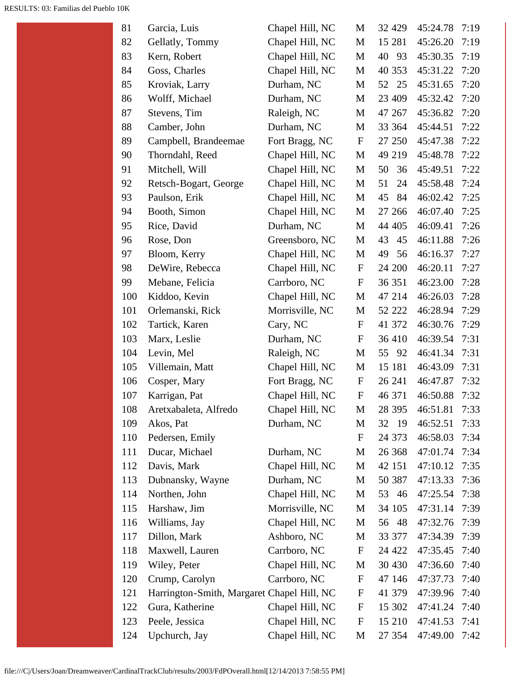| 81  | Garcia, Luis                               | Chapel Hill, NC | M                         | 32 4 29  | 45:24.78 | 7:19 |
|-----|--------------------------------------------|-----------------|---------------------------|----------|----------|------|
| 82  | Gellatly, Tommy                            | Chapel Hill, NC | M                         | 15 281   | 45:26.20 | 7:19 |
| 83  | Kern, Robert                               | Chapel Hill, NC | M                         | 40<br>93 | 45:30.35 | 7:19 |
| 84  | Goss, Charles                              | Chapel Hill, NC | M                         | 40 353   | 45:31.22 | 7:20 |
| 85  | Kroviak, Larry                             | Durham, NC      | M                         | 52<br>25 | 45:31.65 | 7:20 |
| 86  | Wolff, Michael                             | Durham, NC      | M                         | 23 409   | 45:32.42 | 7:20 |
| 87  | Stevens, Tim                               | Raleigh, NC     | M                         | 47 267   | 45:36.82 | 7:20 |
| 88  | Camber, John                               | Durham, NC      | M                         | 33 364   | 45:44.51 | 7:22 |
| 89  | Campbell, Brandeemae                       | Fort Bragg, NC  | $\mathbf F$               | 27 250   | 45:47.38 | 7:22 |
| 90  | Thorndahl, Reed                            | Chapel Hill, NC | M                         | 49 219   | 45:48.78 | 7:22 |
| 91  | Mitchell, Will                             | Chapel Hill, NC | M                         | 36<br>50 | 45:49.51 | 7:22 |
| 92  | Retsch-Bogart, George                      | Chapel Hill, NC | M                         | 51<br>24 | 45:58.48 | 7:24 |
| 93  | Paulson, Erik                              | Chapel Hill, NC | M                         | 45<br>84 | 46:02.42 | 7:25 |
| 94  | Booth, Simon                               | Chapel Hill, NC | M                         | 27 26 6  | 46:07.40 | 7:25 |
| 95  | Rice, David                                | Durham, NC      | M                         | 44 405   | 46:09.41 | 7:26 |
| 96  | Rose, Don                                  | Greensboro, NC  | M                         | 43<br>45 | 46:11.88 | 7:26 |
| 97  | Bloom, Kerry                               | Chapel Hill, NC | M                         | 56<br>49 | 46:16.37 | 7:27 |
| 98  | DeWire, Rebecca                            | Chapel Hill, NC | $\mathbf F$               | 24 200   | 46:20.11 | 7:27 |
| 99  | Mebane, Felicia                            | Carrboro, NC    | $\boldsymbol{\mathrm{F}}$ | 36 351   | 46:23.00 | 7:28 |
| 100 | Kiddoo, Kevin                              | Chapel Hill, NC | M                         | 47 214   | 46:26.03 | 7:28 |
| 101 | Orlemanski, Rick                           | Morrisville, NC | M                         | 52 222   | 46:28.94 | 7:29 |
| 102 | Tartick, Karen                             | Cary, NC        | $\boldsymbol{\mathrm{F}}$ | 41 372   | 46:30.76 | 7:29 |
| 103 | Marx, Leslie                               | Durham, NC      | $\boldsymbol{\mathrm{F}}$ | 36 410   | 46:39.54 | 7:31 |
| 104 | Levin, Mel                                 | Raleigh, NC     | M                         | 55<br>92 | 46:41.34 | 7:31 |
| 105 | Villemain, Matt                            | Chapel Hill, NC | M                         | 15 181   | 46:43.09 | 7:31 |
| 106 | Cosper, Mary                               | Fort Bragg, NC  | $\mathbf F$               | 26 241   | 46:47.87 | 7:32 |
| 107 | Karrigan, Pat                              | Chapel Hill, NC | ${\bf F}$                 | 46 371   | 46:50.88 | 7:32 |
| 108 | Aretxabaleta, Alfredo                      | Chapel Hill, NC | M                         | 28 395   | 46:51.81 | 7:33 |
| 109 | Akos, Pat                                  | Durham, NC      | M                         | 32 19    | 46:52.51 | 7:33 |
| 110 | Pedersen, Emily                            |                 | $\mathbf F$               | 24 373   | 46:58.03 | 7:34 |
| 111 | Ducar, Michael                             | Durham, NC      | M                         | 26 368   | 47:01.74 | 7:34 |
| 112 | Davis, Mark                                | Chapel Hill, NC | M                         | 42 151   | 47:10.12 | 7:35 |
| 113 | Dubnansky, Wayne                           | Durham, NC      | M                         | 50 387   | 47:13.33 | 7:36 |
| 114 | Northen, John                              | Chapel Hill, NC | M                         | 53<br>46 | 47:25.54 | 7:38 |
| 115 | Harshaw, Jim                               | Morrisville, NC | M                         | 34 105   | 47:31.14 | 7:39 |
| 116 | Williams, Jay                              | Chapel Hill, NC | M                         | 48<br>56 | 47:32.76 | 7:39 |
| 117 | Dillon, Mark                               | Ashboro, NC     | M                         | 33 377   | 47:34.39 | 7:39 |
| 118 | Maxwell, Lauren                            | Carrboro, NC    | $\boldsymbol{\mathrm{F}}$ | 24 4 22  | 47:35.45 | 7:40 |
| 119 | Wiley, Peter                               | Chapel Hill, NC | M                         | 30 430   | 47:36.60 | 7:40 |
| 120 | Crump, Carolyn                             | Carrboro, NC    | $\mathbf F$               | 47 146   | 47:37.73 | 7:40 |
| 121 | Harrington-Smith, Margaret Chapel Hill, NC |                 | $\mathbf F$               | 41 379   | 47:39.96 | 7:40 |
| 122 | Gura, Katherine                            | Chapel Hill, NC | $\mathbf F$               | 15 302   | 47:41.24 | 7:40 |
| 123 | Peele, Jessica                             | Chapel Hill, NC | ${\bf F}$                 | 15 210   | 47:41.53 | 7:41 |
| 124 | Upchurch, Jay                              | Chapel Hill, NC | M                         | 27 354   | 47:49.00 | 7:42 |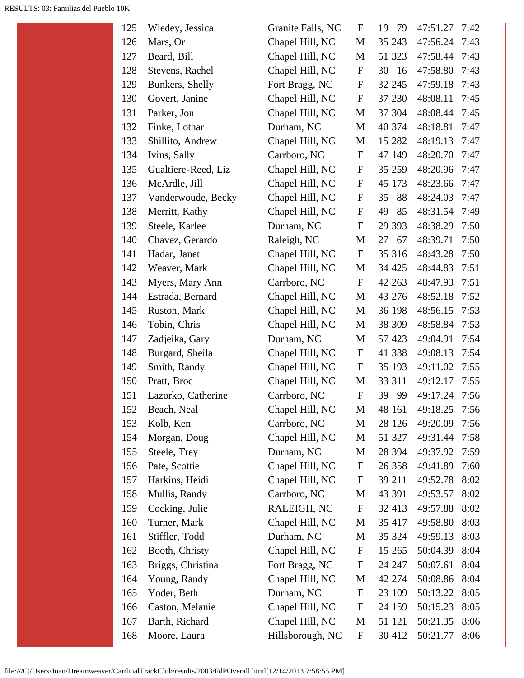| 125 | Wiedey, Jessica     | Granite Falls, NC | F                         | 19<br>-79 | 47:51.27 | 7:42 |
|-----|---------------------|-------------------|---------------------------|-----------|----------|------|
| 126 | Mars, Or            | Chapel Hill, NC   | $\mathbf{M}$              | 35 243    | 47:56.24 | 7:43 |
| 127 | Beard, Bill         | Chapel Hill, NC   | M                         | 51 323    | 47:58.44 | 7:43 |
| 128 | Stevens, Rachel     | Chapel Hill, NC   | $\mathbf F$               | 30<br>-16 | 47:58.80 | 7:43 |
| 129 | Bunkers, Shelly     | Fort Bragg, NC    | $\boldsymbol{F}$          | 32 245    | 47:59.18 | 7:43 |
| 130 | Govert, Janine      | Chapel Hill, NC   | $\mathbf F$               | 37 230    | 48:08.11 | 7:45 |
| 131 | Parker, Jon         | Chapel Hill, NC   | M                         | 37 304    | 48:08.44 | 7:45 |
| 132 | Finke, Lothar       | Durham, NC        | M                         | 40 374    | 48:18.81 | 7:47 |
| 133 | Shillito, Andrew    | Chapel Hill, NC   | M                         | 15 282    | 48:19.13 | 7:47 |
| 134 | Ivins, Sally        | Carrboro, NC      | $\mathbf F$               | 47 149    | 48:20.70 | 7:47 |
| 135 | Gualtiere-Reed, Liz | Chapel Hill, NC   | $\mathbf F$               | 35 259    | 48:20.96 | 7:47 |
| 136 | McArdle, Jill       | Chapel Hill, NC   | $\mathbf F$               | 45 173    | 48:23.66 | 7:47 |
| 137 | Vanderwoude, Becky  | Chapel Hill, NC   | $\boldsymbol{F}$          | 35<br>88  | 48:24.03 | 7:47 |
| 138 | Merritt, Kathy      | Chapel Hill, NC   | $\mathbf F$               | 85<br>49  | 48:31.54 | 7:49 |
| 139 | Steele, Karlee      | Durham, NC        | $\mathbf F$               | 29 3 93   | 48:38.29 | 7:50 |
| 140 | Chavez, Gerardo     | Raleigh, NC       | M                         | 27<br>67  | 48:39.71 | 7:50 |
| 141 | Hadar, Janet        | Chapel Hill, NC   | $\mathbf F$               | 35 316    | 48:43.28 | 7:50 |
| 142 | Weaver, Mark        | Chapel Hill, NC   | М                         | 34 425    | 48:44.83 | 7:51 |
| 143 | Myers, Mary Ann     | Carrboro, NC      | $\mathbf F$               | 42 263    | 48:47.93 | 7:51 |
| 144 | Estrada, Bernard    | Chapel Hill, NC   | M                         | 43 276    | 48:52.18 | 7:52 |
| 145 | Ruston, Mark        | Chapel Hill, NC   | M                         | 36 198    | 48:56.15 | 7:53 |
| 146 | Tobin, Chris        | Chapel Hill, NC   | M                         | 38 309    | 48:58.84 | 7:53 |
| 147 | Zadjeika, Gary      | Durham, NC        | M                         | 57 423    | 49:04.91 | 7:54 |
| 148 | Burgard, Sheila     | Chapel Hill, NC   | F                         | 41 338    | 49:08.13 | 7:54 |
| 149 | Smith, Randy        | Chapel Hill, NC   | $\mathbf F$               | 35 193    | 49:11.02 | 7:55 |
| 150 | Pratt, Broc         | Chapel Hill, NC   | M                         | 33 311    | 49:12.17 | 7:55 |
| 151 | Lazorko, Catherine  | Carrboro, NC      | $\mathbf F$               | 39<br>-99 | 49:17.24 | 7:56 |
| 152 | Beach, Neal         | Chapel Hill, NC   | M                         | 48 161    | 49:18.25 | 7:56 |
| 153 | Kolb, Ken           | Carrboro, NC      | M                         | 28 1 26   | 49:20.09 | 7:56 |
| 154 | Morgan, Doug        | Chapel Hill, NC   | M                         | 51 327    | 49:31.44 | 7:58 |
| 155 | Steele, Trey        | Durham, NC        | M                         | 28 394    | 49:37.92 | 7:59 |
| 156 | Pate, Scottie       | Chapel Hill, NC   | $\mathbf F$               | 26 358    | 49:41.89 | 7:60 |
| 157 | Harkins, Heidi      | Chapel Hill, NC   | F                         | 39 211    | 49:52.78 | 8:02 |
| 158 | Mullis, Randy       | Carrboro, NC      | M                         | 43 391    | 49:53.57 | 8:02 |
| 159 | Cocking, Julie      | RALEIGH, NC       | $\mathbf F$               | 32 413    | 49:57.88 | 8:02 |
| 160 | Turner, Mark        | Chapel Hill, NC   | M                         | 35 417    | 49:58.80 | 8:03 |
| 161 | Stiffler, Todd      | Durham, NC        | M                         | 35 324    | 49:59.13 | 8:03 |
| 162 | Booth, Christy      | Chapel Hill, NC   | F                         | 15 265    | 50:04.39 | 8:04 |
| 163 | Briggs, Christina   | Fort Bragg, NC    | $\boldsymbol{\mathrm{F}}$ | 24 247    | 50:07.61 | 8:04 |
| 164 | Young, Randy        | Chapel Hill, NC   | M                         | 42 274    | 50:08.86 | 8:04 |
| 165 | Yoder, Beth         | Durham, NC        | F                         | 23 109    | 50:13.22 | 8:05 |
| 166 | Caston, Melanie     | Chapel Hill, NC   | $\mathbf F$               | 24 159    | 50:15.23 | 8:05 |
| 167 | Barth, Richard      | Chapel Hill, NC   | M                         | 51 121    | 50:21.35 | 8:06 |
| 168 | Moore, Laura        | Hillsborough, NC  | $\boldsymbol{F}$          | 30 412    | 50:21.77 | 8:06 |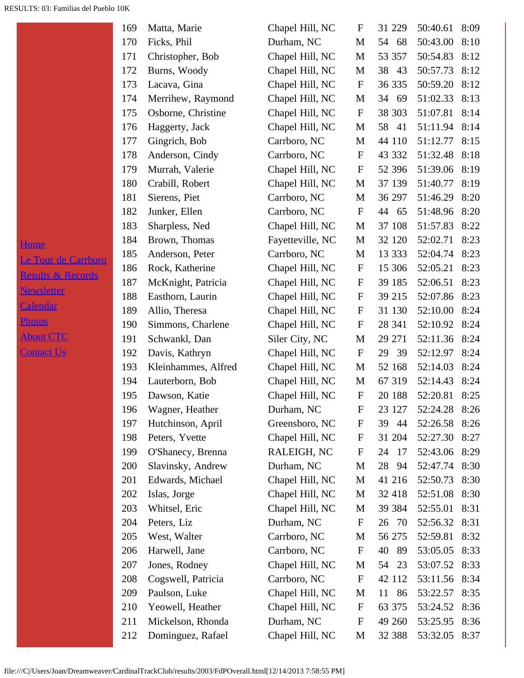H<sub>c</sub>

|                              | 169 | Matta, Marie        | Chapel Hill, NC  | $\boldsymbol{\mathrm{F}}$ | 31 229   | 50:40.61             | 8:09 |
|------------------------------|-----|---------------------|------------------|---------------------------|----------|----------------------|------|
|                              | 170 | Ficks, Phil         | Durham, NC       | M                         | 54 68    | 50:43.00             | 8:10 |
|                              | 171 | Christopher, Bob    | Chapel Hill, NC  | M                         | 53 357   | 50:54.83             | 8:12 |
|                              | 172 | Burns, Woody        | Chapel Hill, NC  | M                         | 38<br>43 | 50:57.73             | 8:12 |
|                              | 173 | Lacava, Gina        | Chapel Hill, NC  | $\mathbf F$               | 36 335   | 50:59.20             | 8:12 |
|                              | 174 | Merrihew, Raymond   | Chapel Hill, NC  | M                         | 34 69    | 51:02.33             | 8:13 |
|                              | 175 | Osborne, Christine  | Chapel Hill, NC  | $\mathbf F$               | 38 303   | 51:07.81             | 8:14 |
|                              | 176 | Haggerty, Jack      | Chapel Hill, NC  | M                         | 58<br>41 | 51:11.94             | 8:14 |
|                              | 177 | Gingrich, Bob       | Carrboro, NC     | M                         | 44 110   | 51:12.77             | 8:15 |
|                              | 178 | Anderson, Cindy     | Carrboro, NC     | $\boldsymbol{\mathrm{F}}$ | 43 332   | 51:32.48             | 8:18 |
|                              | 179 | Murrah, Valerie     | Chapel Hill, NC  | $\boldsymbol{\mathrm{F}}$ | 52 396   | 51:39.06             | 8:19 |
|                              | 180 | Crabill, Robert     | Chapel Hill, NC  | M                         | 37 139   | 51:40.77             | 8:19 |
|                              | 181 | Sierens, Piet       | Carrboro, NC     | M                         | 36 297   | 51:46.29             | 8:20 |
|                              | 182 | Junker, Ellen       | Carrboro, NC     | $\mathbf F$               | 44 65    | 51:48.96             | 8:20 |
|                              | 183 | Sharpless, Ned      | Chapel Hill, NC  | M                         | 37 108   | 51:57.83             | 8:22 |
| <b>Home</b>                  | 184 | Brown, Thomas       | Fayetteville, NC | M                         | 32 120   | 52:02.71             | 8:23 |
| Le Tour de Carrboro          | 185 | Anderson, Peter     | Carrboro, NC     | M                         | 13 333   | 52:04.74             | 8:23 |
| <b>Results &amp; Records</b> | 186 | Rock, Katherine     | Chapel Hill, NC  | $\mathbf F$               | 15 30 6  | 52:05.21             | 8:23 |
|                              | 187 | McKnight, Patricia  | Chapel Hill, NC  | $\mathbf F$               | 39 185   | 52:06.51             | 8:23 |
| <b>Newsletter</b>            | 188 | Easthorn, Laurin    | Chapel Hill, NC  | $\mathbf{F}$              | 39 215   | 52:07.86             | 8:23 |
| <b>Calendar</b>              | 189 | Allio, Theresa      | Chapel Hill, NC  | $\mathbf F$               | 31 130   | 52:10.00             | 8:24 |
| <b>Photos</b>                | 190 | Simmons, Charlene   | Chapel Hill, NC  | $\mathbf F$               | 28 341   | 52:10.92             | 8:24 |
| <b>About CTC</b>             | 191 | Schwankl, Dan       | Siler City, NC   | M                         | 29 271   | 52:11.36             | 8:24 |
| <b>Contact Us</b>            | 192 | Davis, Kathryn      | Chapel Hill, NC  | $\mathbf{F}$              | 29<br>39 | 52:12.97             | 8:24 |
|                              | 193 | Kleinhammes, Alfred | Chapel Hill, NC  | M                         | 52 168   | 52:14.03             | 8:24 |
|                              | 194 | Lauterborn, Bob     | Chapel Hill, NC  | M                         | 67 319   | 52:14.43             | 8:24 |
|                              | 195 | Dawson, Katie       | Chapel Hill, NC  | $\mathbf F$               | 20 188   | 52:20.81             | 8:25 |
|                              | 196 | Wagner, Heather     | Durham, NC       | $\boldsymbol{\mathrm{F}}$ |          | 23 127 52:24.28 8:26 |      |
|                              | 197 | Hutchinson, April   | Greensboro, NC   | $\mathbf{F}$              | 39<br>44 | 52:26.58             | 8:26 |
|                              | 198 | Peters, Yvette      | Chapel Hill, NC  | F                         | 31 204   | 52:27.30             | 8:27 |
|                              | 199 | O'Shanecy, Brenna   | RALEIGH, NC      | $\mathbf F$               | 24<br>17 | 52:43.06             | 8:29 |
|                              | 200 | Slavinsky, Andrew   | Durham, NC       | M                         | 28<br>94 | 52:47.74             | 8:30 |
|                              | 201 | Edwards, Michael    | Chapel Hill, NC  | M                         | 41 216   | 52:50.73             | 8:30 |
|                              | 202 | Islas, Jorge        | Chapel Hill, NC  | M                         | 32 418   | 52:51.08             | 8:30 |
|                              | 203 | Whitsel, Eric       | Chapel Hill, NC  | M                         | 39 384   | 52:55.01             | 8:31 |
|                              | 204 | Peters, Liz         | Durham, NC       | $\mathbf F$               | 26<br>70 | 52:56.32             | 8:31 |
|                              | 205 | West, Walter        | Carrboro, NC     | M                         | 56 275   | 52:59.81             | 8:32 |
|                              | 206 | Harwell, Jane       | Carrboro, NC     | $\mathbf F$               | 40<br>89 | 53:05.05             | 8:33 |
|                              | 207 | Jones, Rodney       | Chapel Hill, NC  | M                         | 54<br>23 | 53:07.52             | 8:33 |
|                              | 208 | Cogswell, Patricia  | Carrboro, NC     | $\mathbf F$               | 42 112   | 53:11.56             | 8:34 |
|                              | 209 | Paulson, Luke       | Chapel Hill, NC  | M                         | 86<br>11 | 53:22.57             | 8:35 |
|                              | 210 | Yeowell, Heather    | Chapel Hill, NC  | $\mathbf F$               | 63 375   | 53:24.52             | 8:36 |
|                              | 211 | Mickelson, Rhonda   | Durham, NC       | F                         | 49 260   | 53:25.95             | 8:36 |
|                              | 212 | Dominguez, Rafael   | Chapel Hill, NC  | M                         | 32 388   | 53:32.05             | 8:37 |
|                              |     |                     |                  |                           |          |                      |      |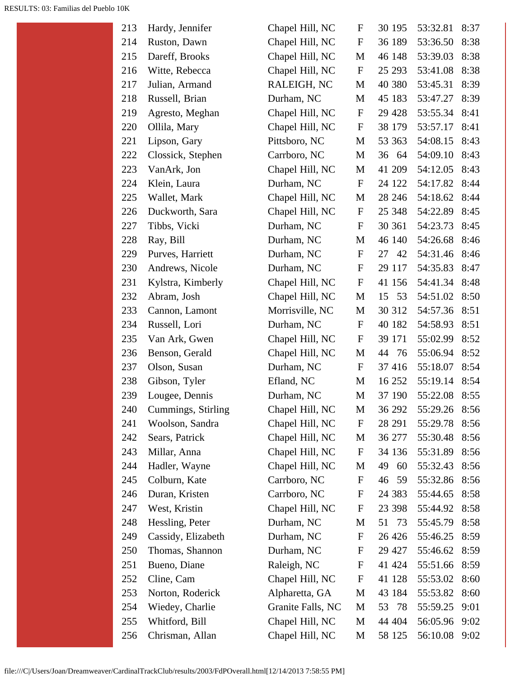| 214<br>Chapel Hill, NC<br>${\bf F}$<br>53:36.50<br>8:38<br>Ruston, Dawn<br>36 189<br>215<br>Chapel Hill, NC<br>53:39.03<br>Dareff, Brooks<br>M<br>46 148<br>8:38<br>Chapel Hill, NC<br>$\boldsymbol{\mathrm{F}}$<br>216<br>Witte, Rebecca<br>25 29 3<br>53:41.08<br>8:38<br>217<br>RALEIGH, NC<br>53:45.31<br>8:39<br>Julian, Armand<br>M<br>40 380<br>218<br>8:39<br>Russell, Brian<br>Durham, NC<br>45 183<br>53:47.27<br>M<br>219<br>Chapel Hill, NC<br>$\mathbf F$<br>Agresto, Meghan<br>29 4 28<br>53:55.34<br>8:41<br>220<br>Chapel Hill, NC<br>53:57.17<br>Ollila, Mary<br>$\mathbf F$<br>38 179<br>8:41<br>221<br>54:08.15<br>8:43<br>Lipson, Gary<br>Pittsboro, NC<br>M<br>53 363<br>222<br>Clossick, Stephen<br>Carrboro, NC<br>M<br>54:09.10<br>8:43<br>36 64<br>223<br>VanArk, Jon<br>Chapel Hill, NC<br>M<br>41 209<br>54:12.05<br>8:43<br>Durham, NC<br>54:17.82<br>224<br>Klein, Laura<br>$\mathbf F$<br>24 122<br>8:44<br>225<br>54:18.62<br>8:44<br>Wallet, Mark<br>Chapel Hill, NC<br>M<br>28 24 6<br>226<br>Chapel Hill, NC<br>$\boldsymbol{\mathrm{F}}$<br>54:22.89<br>Duckworth, Sara<br>25 348<br>8:45<br>227<br>${\bf F}$<br>Tibbs, Vicki<br>Durham, NC<br>30 361<br>54:23.73<br>8:45<br>228<br>54:26.68<br>Ray, Bill<br>Durham, NC<br>46 140<br>8:46<br>M<br>229<br>54:31.46<br>Purves, Harriett<br>Durham, NC<br>$\mathbf F$<br>27 42<br>8:46<br>230<br>$\mathbf F$<br>54:35.83<br>Andrews, Nicole<br>Durham, NC<br>8:47<br>29 117<br>231<br>54:41.34<br>Kylstra, Kimberly<br>Chapel Hill, NC<br>$\boldsymbol{\mathrm{F}}$<br>41 156<br>8:48<br>Chapel Hill, NC<br>53<br>54:51.02<br>232<br>Abram, Josh<br>M<br>8:50<br>15<br>233<br>54:57.36<br>8:51<br>Morrisville, NC<br>M<br>30 312<br>Cannon, Lamont<br>234<br>54:58.93<br>Russell, Lori<br>Durham, NC<br>$\mathbf F$<br>40 182<br>8:51<br>235<br>Chapel Hill, NC<br>$\boldsymbol{\mathrm{F}}$<br>39 171<br>55:02.99<br>8:52<br>Van Ark, Gwen<br>236<br>Chapel Hill, NC<br>8:52<br>Benson, Gerald<br>76<br>55:06.94<br>M<br>44<br>237<br>55:18.07<br>8:54<br>Olson, Susan<br>Durham, NC<br>$\mathbf F$<br>37 416<br>238<br>8:54<br>Gibson, Tyler<br>Efland, NC<br>16 25 2<br>55:19.14<br>M<br>239<br>Lougee, Dennis<br>Durham, NC<br>M<br>37 190<br>55:22.08<br>8:55<br>240<br>Cummings, Stirling<br>Chapel Hill, NC<br>M<br>36 292<br>55:29.26<br>8:56<br>241<br>Chapel Hill, NC<br>28 291<br>55:29.78<br>8:56<br>Woolson, Sandra<br>$\mathbf F$<br>242<br>Chapel Hill, NC<br>Sears, Patrick<br>36 277<br>55:30.48<br>8:56<br>M<br>243<br>Millar, Anna<br>Chapel Hill, NC<br>$\boldsymbol{\mathrm{F}}$<br>55:31.89<br>8:56<br>34 136<br>244<br>Hadler, Wayne<br>Chapel Hill, NC<br>60<br>55:32.43<br>8:56<br>M<br>49<br>245<br>Colburn, Kate<br>Carrboro, NC<br>$\boldsymbol{F}$<br>59<br>55:32.86<br>8:56<br>46<br>246<br>Duran, Kristen<br>Carrboro, NC<br>55:44.65<br>8:58<br>F<br>24 3 8 3<br>Chapel Hill, NC<br>247<br>West, Kristin<br>$\mathbf F$<br>23 398<br>55:44.92<br>8:58<br>248<br>Hessling, Peter<br>Durham, NC<br>73<br>55:45.79<br>8:58<br>М<br>51<br>Cassidy, Elizabeth<br>249<br>Durham, NC<br>$\mathbf F$<br>26 4 26<br>55:46.25<br>8:59<br>250<br>Thomas, Shannon<br>Durham, NC<br>$\boldsymbol{\mathrm{F}}$<br>29 4 27<br>55:46.62<br>8:59<br>251<br>Bueno, Diane<br>Raleigh, NC<br>$\boldsymbol{\mathrm{F}}$<br>41 424<br>55:51.66<br>8:59<br>Chapel Hill, NC<br>252<br>Cline, Cam<br>41 128<br>55:53.02<br>8:60<br>F<br>253<br>Norton, Roderick<br>Alpharetta, GA<br>M<br>43 184<br>55:53.82<br>8:60<br>254<br>Wiedey, Charlie<br>Granite Falls, NC<br>55:59.25<br>M<br>53<br>- 78<br>9:01<br>255<br>Chapel Hill, NC<br>M<br>Whitford, Bill<br>44 404<br>56:05.96<br>9:02<br>56:10.08<br>256<br>M<br>58 125<br>9:02 | 213 | Hardy, Jennifer | Chapel Hill, NC | F | 30 195 | 53:32.81 | 8:37 |
|----------------------------------------------------------------------------------------------------------------------------------------------------------------------------------------------------------------------------------------------------------------------------------------------------------------------------------------------------------------------------------------------------------------------------------------------------------------------------------------------------------------------------------------------------------------------------------------------------------------------------------------------------------------------------------------------------------------------------------------------------------------------------------------------------------------------------------------------------------------------------------------------------------------------------------------------------------------------------------------------------------------------------------------------------------------------------------------------------------------------------------------------------------------------------------------------------------------------------------------------------------------------------------------------------------------------------------------------------------------------------------------------------------------------------------------------------------------------------------------------------------------------------------------------------------------------------------------------------------------------------------------------------------------------------------------------------------------------------------------------------------------------------------------------------------------------------------------------------------------------------------------------------------------------------------------------------------------------------------------------------------------------------------------------------------------------------------------------------------------------------------------------------------------------------------------------------------------------------------------------------------------------------------------------------------------------------------------------------------------------------------------------------------------------------------------------------------------------------------------------------------------------------------------------------------------------------------------------------------------------------------------------------------------------------------------------------------------------------------------------------------------------------------------------------------------------------------------------------------------------------------------------------------------------------------------------------------------------------------------------------------------------------------------------------------------------------------------------------------------------------------------------------------------------------------------------------------------------------------------------------------------------------------------------------------------------------------------------------------------------------------------------------------------------------------------------------------------------------------------------------------------------------------------------------------------------------------------------------------------------------------------------------------------------------------------------------------------------------|-----|-----------------|-----------------|---|--------|----------|------|
|                                                                                                                                                                                                                                                                                                                                                                                                                                                                                                                                                                                                                                                                                                                                                                                                                                                                                                                                                                                                                                                                                                                                                                                                                                                                                                                                                                                                                                                                                                                                                                                                                                                                                                                                                                                                                                                                                                                                                                                                                                                                                                                                                                                                                                                                                                                                                                                                                                                                                                                                                                                                                                                                                                                                                                                                                                                                                                                                                                                                                                                                                                                                                                                                                                                                                                                                                                                                                                                                                                                                                                                                                                                                                                                            |     |                 |                 |   |        |          |      |
|                                                                                                                                                                                                                                                                                                                                                                                                                                                                                                                                                                                                                                                                                                                                                                                                                                                                                                                                                                                                                                                                                                                                                                                                                                                                                                                                                                                                                                                                                                                                                                                                                                                                                                                                                                                                                                                                                                                                                                                                                                                                                                                                                                                                                                                                                                                                                                                                                                                                                                                                                                                                                                                                                                                                                                                                                                                                                                                                                                                                                                                                                                                                                                                                                                                                                                                                                                                                                                                                                                                                                                                                                                                                                                                            |     |                 |                 |   |        |          |      |
|                                                                                                                                                                                                                                                                                                                                                                                                                                                                                                                                                                                                                                                                                                                                                                                                                                                                                                                                                                                                                                                                                                                                                                                                                                                                                                                                                                                                                                                                                                                                                                                                                                                                                                                                                                                                                                                                                                                                                                                                                                                                                                                                                                                                                                                                                                                                                                                                                                                                                                                                                                                                                                                                                                                                                                                                                                                                                                                                                                                                                                                                                                                                                                                                                                                                                                                                                                                                                                                                                                                                                                                                                                                                                                                            |     |                 |                 |   |        |          |      |
|                                                                                                                                                                                                                                                                                                                                                                                                                                                                                                                                                                                                                                                                                                                                                                                                                                                                                                                                                                                                                                                                                                                                                                                                                                                                                                                                                                                                                                                                                                                                                                                                                                                                                                                                                                                                                                                                                                                                                                                                                                                                                                                                                                                                                                                                                                                                                                                                                                                                                                                                                                                                                                                                                                                                                                                                                                                                                                                                                                                                                                                                                                                                                                                                                                                                                                                                                                                                                                                                                                                                                                                                                                                                                                                            |     |                 |                 |   |        |          |      |
|                                                                                                                                                                                                                                                                                                                                                                                                                                                                                                                                                                                                                                                                                                                                                                                                                                                                                                                                                                                                                                                                                                                                                                                                                                                                                                                                                                                                                                                                                                                                                                                                                                                                                                                                                                                                                                                                                                                                                                                                                                                                                                                                                                                                                                                                                                                                                                                                                                                                                                                                                                                                                                                                                                                                                                                                                                                                                                                                                                                                                                                                                                                                                                                                                                                                                                                                                                                                                                                                                                                                                                                                                                                                                                                            |     |                 |                 |   |        |          |      |
|                                                                                                                                                                                                                                                                                                                                                                                                                                                                                                                                                                                                                                                                                                                                                                                                                                                                                                                                                                                                                                                                                                                                                                                                                                                                                                                                                                                                                                                                                                                                                                                                                                                                                                                                                                                                                                                                                                                                                                                                                                                                                                                                                                                                                                                                                                                                                                                                                                                                                                                                                                                                                                                                                                                                                                                                                                                                                                                                                                                                                                                                                                                                                                                                                                                                                                                                                                                                                                                                                                                                                                                                                                                                                                                            |     |                 |                 |   |        |          |      |
|                                                                                                                                                                                                                                                                                                                                                                                                                                                                                                                                                                                                                                                                                                                                                                                                                                                                                                                                                                                                                                                                                                                                                                                                                                                                                                                                                                                                                                                                                                                                                                                                                                                                                                                                                                                                                                                                                                                                                                                                                                                                                                                                                                                                                                                                                                                                                                                                                                                                                                                                                                                                                                                                                                                                                                                                                                                                                                                                                                                                                                                                                                                                                                                                                                                                                                                                                                                                                                                                                                                                                                                                                                                                                                                            |     |                 |                 |   |        |          |      |
|                                                                                                                                                                                                                                                                                                                                                                                                                                                                                                                                                                                                                                                                                                                                                                                                                                                                                                                                                                                                                                                                                                                                                                                                                                                                                                                                                                                                                                                                                                                                                                                                                                                                                                                                                                                                                                                                                                                                                                                                                                                                                                                                                                                                                                                                                                                                                                                                                                                                                                                                                                                                                                                                                                                                                                                                                                                                                                                                                                                                                                                                                                                                                                                                                                                                                                                                                                                                                                                                                                                                                                                                                                                                                                                            |     |                 |                 |   |        |          |      |
|                                                                                                                                                                                                                                                                                                                                                                                                                                                                                                                                                                                                                                                                                                                                                                                                                                                                                                                                                                                                                                                                                                                                                                                                                                                                                                                                                                                                                                                                                                                                                                                                                                                                                                                                                                                                                                                                                                                                                                                                                                                                                                                                                                                                                                                                                                                                                                                                                                                                                                                                                                                                                                                                                                                                                                                                                                                                                                                                                                                                                                                                                                                                                                                                                                                                                                                                                                                                                                                                                                                                                                                                                                                                                                                            |     |                 |                 |   |        |          |      |
|                                                                                                                                                                                                                                                                                                                                                                                                                                                                                                                                                                                                                                                                                                                                                                                                                                                                                                                                                                                                                                                                                                                                                                                                                                                                                                                                                                                                                                                                                                                                                                                                                                                                                                                                                                                                                                                                                                                                                                                                                                                                                                                                                                                                                                                                                                                                                                                                                                                                                                                                                                                                                                                                                                                                                                                                                                                                                                                                                                                                                                                                                                                                                                                                                                                                                                                                                                                                                                                                                                                                                                                                                                                                                                                            |     |                 |                 |   |        |          |      |
|                                                                                                                                                                                                                                                                                                                                                                                                                                                                                                                                                                                                                                                                                                                                                                                                                                                                                                                                                                                                                                                                                                                                                                                                                                                                                                                                                                                                                                                                                                                                                                                                                                                                                                                                                                                                                                                                                                                                                                                                                                                                                                                                                                                                                                                                                                                                                                                                                                                                                                                                                                                                                                                                                                                                                                                                                                                                                                                                                                                                                                                                                                                                                                                                                                                                                                                                                                                                                                                                                                                                                                                                                                                                                                                            |     |                 |                 |   |        |          |      |
|                                                                                                                                                                                                                                                                                                                                                                                                                                                                                                                                                                                                                                                                                                                                                                                                                                                                                                                                                                                                                                                                                                                                                                                                                                                                                                                                                                                                                                                                                                                                                                                                                                                                                                                                                                                                                                                                                                                                                                                                                                                                                                                                                                                                                                                                                                                                                                                                                                                                                                                                                                                                                                                                                                                                                                                                                                                                                                                                                                                                                                                                                                                                                                                                                                                                                                                                                                                                                                                                                                                                                                                                                                                                                                                            |     |                 |                 |   |        |          |      |
|                                                                                                                                                                                                                                                                                                                                                                                                                                                                                                                                                                                                                                                                                                                                                                                                                                                                                                                                                                                                                                                                                                                                                                                                                                                                                                                                                                                                                                                                                                                                                                                                                                                                                                                                                                                                                                                                                                                                                                                                                                                                                                                                                                                                                                                                                                                                                                                                                                                                                                                                                                                                                                                                                                                                                                                                                                                                                                                                                                                                                                                                                                                                                                                                                                                                                                                                                                                                                                                                                                                                                                                                                                                                                                                            |     |                 |                 |   |        |          |      |
|                                                                                                                                                                                                                                                                                                                                                                                                                                                                                                                                                                                                                                                                                                                                                                                                                                                                                                                                                                                                                                                                                                                                                                                                                                                                                                                                                                                                                                                                                                                                                                                                                                                                                                                                                                                                                                                                                                                                                                                                                                                                                                                                                                                                                                                                                                                                                                                                                                                                                                                                                                                                                                                                                                                                                                                                                                                                                                                                                                                                                                                                                                                                                                                                                                                                                                                                                                                                                                                                                                                                                                                                                                                                                                                            |     |                 |                 |   |        |          |      |
|                                                                                                                                                                                                                                                                                                                                                                                                                                                                                                                                                                                                                                                                                                                                                                                                                                                                                                                                                                                                                                                                                                                                                                                                                                                                                                                                                                                                                                                                                                                                                                                                                                                                                                                                                                                                                                                                                                                                                                                                                                                                                                                                                                                                                                                                                                                                                                                                                                                                                                                                                                                                                                                                                                                                                                                                                                                                                                                                                                                                                                                                                                                                                                                                                                                                                                                                                                                                                                                                                                                                                                                                                                                                                                                            |     |                 |                 |   |        |          |      |
|                                                                                                                                                                                                                                                                                                                                                                                                                                                                                                                                                                                                                                                                                                                                                                                                                                                                                                                                                                                                                                                                                                                                                                                                                                                                                                                                                                                                                                                                                                                                                                                                                                                                                                                                                                                                                                                                                                                                                                                                                                                                                                                                                                                                                                                                                                                                                                                                                                                                                                                                                                                                                                                                                                                                                                                                                                                                                                                                                                                                                                                                                                                                                                                                                                                                                                                                                                                                                                                                                                                                                                                                                                                                                                                            |     |                 |                 |   |        |          |      |
|                                                                                                                                                                                                                                                                                                                                                                                                                                                                                                                                                                                                                                                                                                                                                                                                                                                                                                                                                                                                                                                                                                                                                                                                                                                                                                                                                                                                                                                                                                                                                                                                                                                                                                                                                                                                                                                                                                                                                                                                                                                                                                                                                                                                                                                                                                                                                                                                                                                                                                                                                                                                                                                                                                                                                                                                                                                                                                                                                                                                                                                                                                                                                                                                                                                                                                                                                                                                                                                                                                                                                                                                                                                                                                                            |     |                 |                 |   |        |          |      |
|                                                                                                                                                                                                                                                                                                                                                                                                                                                                                                                                                                                                                                                                                                                                                                                                                                                                                                                                                                                                                                                                                                                                                                                                                                                                                                                                                                                                                                                                                                                                                                                                                                                                                                                                                                                                                                                                                                                                                                                                                                                                                                                                                                                                                                                                                                                                                                                                                                                                                                                                                                                                                                                                                                                                                                                                                                                                                                                                                                                                                                                                                                                                                                                                                                                                                                                                                                                                                                                                                                                                                                                                                                                                                                                            |     |                 |                 |   |        |          |      |
|                                                                                                                                                                                                                                                                                                                                                                                                                                                                                                                                                                                                                                                                                                                                                                                                                                                                                                                                                                                                                                                                                                                                                                                                                                                                                                                                                                                                                                                                                                                                                                                                                                                                                                                                                                                                                                                                                                                                                                                                                                                                                                                                                                                                                                                                                                                                                                                                                                                                                                                                                                                                                                                                                                                                                                                                                                                                                                                                                                                                                                                                                                                                                                                                                                                                                                                                                                                                                                                                                                                                                                                                                                                                                                                            |     |                 |                 |   |        |          |      |
|                                                                                                                                                                                                                                                                                                                                                                                                                                                                                                                                                                                                                                                                                                                                                                                                                                                                                                                                                                                                                                                                                                                                                                                                                                                                                                                                                                                                                                                                                                                                                                                                                                                                                                                                                                                                                                                                                                                                                                                                                                                                                                                                                                                                                                                                                                                                                                                                                                                                                                                                                                                                                                                                                                                                                                                                                                                                                                                                                                                                                                                                                                                                                                                                                                                                                                                                                                                                                                                                                                                                                                                                                                                                                                                            |     |                 |                 |   |        |          |      |
|                                                                                                                                                                                                                                                                                                                                                                                                                                                                                                                                                                                                                                                                                                                                                                                                                                                                                                                                                                                                                                                                                                                                                                                                                                                                                                                                                                                                                                                                                                                                                                                                                                                                                                                                                                                                                                                                                                                                                                                                                                                                                                                                                                                                                                                                                                                                                                                                                                                                                                                                                                                                                                                                                                                                                                                                                                                                                                                                                                                                                                                                                                                                                                                                                                                                                                                                                                                                                                                                                                                                                                                                                                                                                                                            |     |                 |                 |   |        |          |      |
|                                                                                                                                                                                                                                                                                                                                                                                                                                                                                                                                                                                                                                                                                                                                                                                                                                                                                                                                                                                                                                                                                                                                                                                                                                                                                                                                                                                                                                                                                                                                                                                                                                                                                                                                                                                                                                                                                                                                                                                                                                                                                                                                                                                                                                                                                                                                                                                                                                                                                                                                                                                                                                                                                                                                                                                                                                                                                                                                                                                                                                                                                                                                                                                                                                                                                                                                                                                                                                                                                                                                                                                                                                                                                                                            |     |                 |                 |   |        |          |      |
|                                                                                                                                                                                                                                                                                                                                                                                                                                                                                                                                                                                                                                                                                                                                                                                                                                                                                                                                                                                                                                                                                                                                                                                                                                                                                                                                                                                                                                                                                                                                                                                                                                                                                                                                                                                                                                                                                                                                                                                                                                                                                                                                                                                                                                                                                                                                                                                                                                                                                                                                                                                                                                                                                                                                                                                                                                                                                                                                                                                                                                                                                                                                                                                                                                                                                                                                                                                                                                                                                                                                                                                                                                                                                                                            |     |                 |                 |   |        |          |      |
|                                                                                                                                                                                                                                                                                                                                                                                                                                                                                                                                                                                                                                                                                                                                                                                                                                                                                                                                                                                                                                                                                                                                                                                                                                                                                                                                                                                                                                                                                                                                                                                                                                                                                                                                                                                                                                                                                                                                                                                                                                                                                                                                                                                                                                                                                                                                                                                                                                                                                                                                                                                                                                                                                                                                                                                                                                                                                                                                                                                                                                                                                                                                                                                                                                                                                                                                                                                                                                                                                                                                                                                                                                                                                                                            |     |                 |                 |   |        |          |      |
|                                                                                                                                                                                                                                                                                                                                                                                                                                                                                                                                                                                                                                                                                                                                                                                                                                                                                                                                                                                                                                                                                                                                                                                                                                                                                                                                                                                                                                                                                                                                                                                                                                                                                                                                                                                                                                                                                                                                                                                                                                                                                                                                                                                                                                                                                                                                                                                                                                                                                                                                                                                                                                                                                                                                                                                                                                                                                                                                                                                                                                                                                                                                                                                                                                                                                                                                                                                                                                                                                                                                                                                                                                                                                                                            |     |                 |                 |   |        |          |      |
|                                                                                                                                                                                                                                                                                                                                                                                                                                                                                                                                                                                                                                                                                                                                                                                                                                                                                                                                                                                                                                                                                                                                                                                                                                                                                                                                                                                                                                                                                                                                                                                                                                                                                                                                                                                                                                                                                                                                                                                                                                                                                                                                                                                                                                                                                                                                                                                                                                                                                                                                                                                                                                                                                                                                                                                                                                                                                                                                                                                                                                                                                                                                                                                                                                                                                                                                                                                                                                                                                                                                                                                                                                                                                                                            |     |                 |                 |   |        |          |      |
|                                                                                                                                                                                                                                                                                                                                                                                                                                                                                                                                                                                                                                                                                                                                                                                                                                                                                                                                                                                                                                                                                                                                                                                                                                                                                                                                                                                                                                                                                                                                                                                                                                                                                                                                                                                                                                                                                                                                                                                                                                                                                                                                                                                                                                                                                                                                                                                                                                                                                                                                                                                                                                                                                                                                                                                                                                                                                                                                                                                                                                                                                                                                                                                                                                                                                                                                                                                                                                                                                                                                                                                                                                                                                                                            |     |                 |                 |   |        |          |      |
|                                                                                                                                                                                                                                                                                                                                                                                                                                                                                                                                                                                                                                                                                                                                                                                                                                                                                                                                                                                                                                                                                                                                                                                                                                                                                                                                                                                                                                                                                                                                                                                                                                                                                                                                                                                                                                                                                                                                                                                                                                                                                                                                                                                                                                                                                                                                                                                                                                                                                                                                                                                                                                                                                                                                                                                                                                                                                                                                                                                                                                                                                                                                                                                                                                                                                                                                                                                                                                                                                                                                                                                                                                                                                                                            |     |                 |                 |   |        |          |      |
|                                                                                                                                                                                                                                                                                                                                                                                                                                                                                                                                                                                                                                                                                                                                                                                                                                                                                                                                                                                                                                                                                                                                                                                                                                                                                                                                                                                                                                                                                                                                                                                                                                                                                                                                                                                                                                                                                                                                                                                                                                                                                                                                                                                                                                                                                                                                                                                                                                                                                                                                                                                                                                                                                                                                                                                                                                                                                                                                                                                                                                                                                                                                                                                                                                                                                                                                                                                                                                                                                                                                                                                                                                                                                                                            |     |                 |                 |   |        |          |      |
|                                                                                                                                                                                                                                                                                                                                                                                                                                                                                                                                                                                                                                                                                                                                                                                                                                                                                                                                                                                                                                                                                                                                                                                                                                                                                                                                                                                                                                                                                                                                                                                                                                                                                                                                                                                                                                                                                                                                                                                                                                                                                                                                                                                                                                                                                                                                                                                                                                                                                                                                                                                                                                                                                                                                                                                                                                                                                                                                                                                                                                                                                                                                                                                                                                                                                                                                                                                                                                                                                                                                                                                                                                                                                                                            |     |                 |                 |   |        |          |      |
|                                                                                                                                                                                                                                                                                                                                                                                                                                                                                                                                                                                                                                                                                                                                                                                                                                                                                                                                                                                                                                                                                                                                                                                                                                                                                                                                                                                                                                                                                                                                                                                                                                                                                                                                                                                                                                                                                                                                                                                                                                                                                                                                                                                                                                                                                                                                                                                                                                                                                                                                                                                                                                                                                                                                                                                                                                                                                                                                                                                                                                                                                                                                                                                                                                                                                                                                                                                                                                                                                                                                                                                                                                                                                                                            |     |                 |                 |   |        |          |      |
|                                                                                                                                                                                                                                                                                                                                                                                                                                                                                                                                                                                                                                                                                                                                                                                                                                                                                                                                                                                                                                                                                                                                                                                                                                                                                                                                                                                                                                                                                                                                                                                                                                                                                                                                                                                                                                                                                                                                                                                                                                                                                                                                                                                                                                                                                                                                                                                                                                                                                                                                                                                                                                                                                                                                                                                                                                                                                                                                                                                                                                                                                                                                                                                                                                                                                                                                                                                                                                                                                                                                                                                                                                                                                                                            |     |                 |                 |   |        |          |      |
|                                                                                                                                                                                                                                                                                                                                                                                                                                                                                                                                                                                                                                                                                                                                                                                                                                                                                                                                                                                                                                                                                                                                                                                                                                                                                                                                                                                                                                                                                                                                                                                                                                                                                                                                                                                                                                                                                                                                                                                                                                                                                                                                                                                                                                                                                                                                                                                                                                                                                                                                                                                                                                                                                                                                                                                                                                                                                                                                                                                                                                                                                                                                                                                                                                                                                                                                                                                                                                                                                                                                                                                                                                                                                                                            |     |                 |                 |   |        |          |      |
|                                                                                                                                                                                                                                                                                                                                                                                                                                                                                                                                                                                                                                                                                                                                                                                                                                                                                                                                                                                                                                                                                                                                                                                                                                                                                                                                                                                                                                                                                                                                                                                                                                                                                                                                                                                                                                                                                                                                                                                                                                                                                                                                                                                                                                                                                                                                                                                                                                                                                                                                                                                                                                                                                                                                                                                                                                                                                                                                                                                                                                                                                                                                                                                                                                                                                                                                                                                                                                                                                                                                                                                                                                                                                                                            |     |                 |                 |   |        |          |      |
|                                                                                                                                                                                                                                                                                                                                                                                                                                                                                                                                                                                                                                                                                                                                                                                                                                                                                                                                                                                                                                                                                                                                                                                                                                                                                                                                                                                                                                                                                                                                                                                                                                                                                                                                                                                                                                                                                                                                                                                                                                                                                                                                                                                                                                                                                                                                                                                                                                                                                                                                                                                                                                                                                                                                                                                                                                                                                                                                                                                                                                                                                                                                                                                                                                                                                                                                                                                                                                                                                                                                                                                                                                                                                                                            |     |                 |                 |   |        |          |      |
|                                                                                                                                                                                                                                                                                                                                                                                                                                                                                                                                                                                                                                                                                                                                                                                                                                                                                                                                                                                                                                                                                                                                                                                                                                                                                                                                                                                                                                                                                                                                                                                                                                                                                                                                                                                                                                                                                                                                                                                                                                                                                                                                                                                                                                                                                                                                                                                                                                                                                                                                                                                                                                                                                                                                                                                                                                                                                                                                                                                                                                                                                                                                                                                                                                                                                                                                                                                                                                                                                                                                                                                                                                                                                                                            |     |                 |                 |   |        |          |      |
|                                                                                                                                                                                                                                                                                                                                                                                                                                                                                                                                                                                                                                                                                                                                                                                                                                                                                                                                                                                                                                                                                                                                                                                                                                                                                                                                                                                                                                                                                                                                                                                                                                                                                                                                                                                                                                                                                                                                                                                                                                                                                                                                                                                                                                                                                                                                                                                                                                                                                                                                                                                                                                                                                                                                                                                                                                                                                                                                                                                                                                                                                                                                                                                                                                                                                                                                                                                                                                                                                                                                                                                                                                                                                                                            |     |                 |                 |   |        |          |      |
|                                                                                                                                                                                                                                                                                                                                                                                                                                                                                                                                                                                                                                                                                                                                                                                                                                                                                                                                                                                                                                                                                                                                                                                                                                                                                                                                                                                                                                                                                                                                                                                                                                                                                                                                                                                                                                                                                                                                                                                                                                                                                                                                                                                                                                                                                                                                                                                                                                                                                                                                                                                                                                                                                                                                                                                                                                                                                                                                                                                                                                                                                                                                                                                                                                                                                                                                                                                                                                                                                                                                                                                                                                                                                                                            |     |                 |                 |   |        |          |      |
|                                                                                                                                                                                                                                                                                                                                                                                                                                                                                                                                                                                                                                                                                                                                                                                                                                                                                                                                                                                                                                                                                                                                                                                                                                                                                                                                                                                                                                                                                                                                                                                                                                                                                                                                                                                                                                                                                                                                                                                                                                                                                                                                                                                                                                                                                                                                                                                                                                                                                                                                                                                                                                                                                                                                                                                                                                                                                                                                                                                                                                                                                                                                                                                                                                                                                                                                                                                                                                                                                                                                                                                                                                                                                                                            |     |                 |                 |   |        |          |      |
|                                                                                                                                                                                                                                                                                                                                                                                                                                                                                                                                                                                                                                                                                                                                                                                                                                                                                                                                                                                                                                                                                                                                                                                                                                                                                                                                                                                                                                                                                                                                                                                                                                                                                                                                                                                                                                                                                                                                                                                                                                                                                                                                                                                                                                                                                                                                                                                                                                                                                                                                                                                                                                                                                                                                                                                                                                                                                                                                                                                                                                                                                                                                                                                                                                                                                                                                                                                                                                                                                                                                                                                                                                                                                                                            |     |                 |                 |   |        |          |      |
|                                                                                                                                                                                                                                                                                                                                                                                                                                                                                                                                                                                                                                                                                                                                                                                                                                                                                                                                                                                                                                                                                                                                                                                                                                                                                                                                                                                                                                                                                                                                                                                                                                                                                                                                                                                                                                                                                                                                                                                                                                                                                                                                                                                                                                                                                                                                                                                                                                                                                                                                                                                                                                                                                                                                                                                                                                                                                                                                                                                                                                                                                                                                                                                                                                                                                                                                                                                                                                                                                                                                                                                                                                                                                                                            |     |                 |                 |   |        |          |      |
|                                                                                                                                                                                                                                                                                                                                                                                                                                                                                                                                                                                                                                                                                                                                                                                                                                                                                                                                                                                                                                                                                                                                                                                                                                                                                                                                                                                                                                                                                                                                                                                                                                                                                                                                                                                                                                                                                                                                                                                                                                                                                                                                                                                                                                                                                                                                                                                                                                                                                                                                                                                                                                                                                                                                                                                                                                                                                                                                                                                                                                                                                                                                                                                                                                                                                                                                                                                                                                                                                                                                                                                                                                                                                                                            |     |                 |                 |   |        |          |      |
|                                                                                                                                                                                                                                                                                                                                                                                                                                                                                                                                                                                                                                                                                                                                                                                                                                                                                                                                                                                                                                                                                                                                                                                                                                                                                                                                                                                                                                                                                                                                                                                                                                                                                                                                                                                                                                                                                                                                                                                                                                                                                                                                                                                                                                                                                                                                                                                                                                                                                                                                                                                                                                                                                                                                                                                                                                                                                                                                                                                                                                                                                                                                                                                                                                                                                                                                                                                                                                                                                                                                                                                                                                                                                                                            |     | Chrisman, Allan | Chapel Hill, NC |   |        |          |      |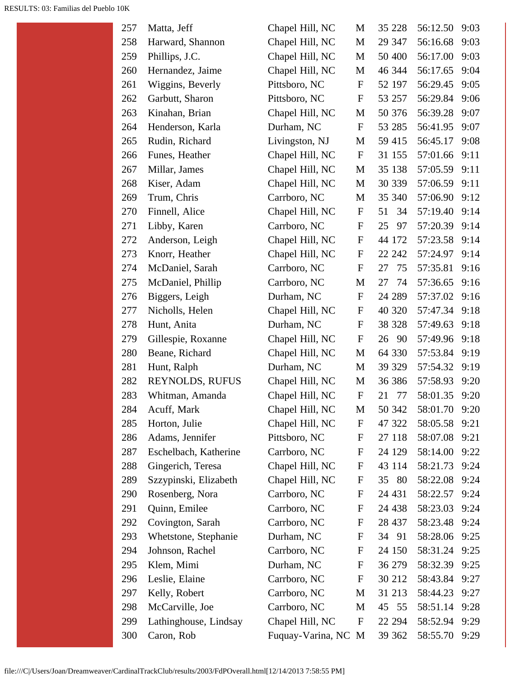| 257 | Matta, Jeff           | Chapel Hill, NC   | M            | 35 228     | 56:12.50 | 9:03 |
|-----|-----------------------|-------------------|--------------|------------|----------|------|
| 258 | Harward, Shannon      | Chapel Hill, NC   | $\mathbf{M}$ | 29 347     | 56:16.68 | 9:03 |
| 259 | Phillips, J.C.        | Chapel Hill, NC   | M            | 50 400     | 56:17.00 | 9:03 |
| 260 | Hernandez, Jaime      | Chapel Hill, NC   | M            | 46 344     | 56:17.65 | 9:04 |
| 261 | Wiggins, Beverly      | Pittsboro, NC     | $\mathbf F$  | 52 197     | 56:29.45 | 9:05 |
| 262 | Garbutt, Sharon       | Pittsboro, NC     | $\mathbf F$  | 53 257     | 56:29.84 | 9:06 |
| 263 | Kinahan, Brian        | Chapel Hill, NC   | M            | 50 376     | 56:39.28 | 9:07 |
| 264 | Henderson, Karla      | Durham, NC        | $\mathbf F$  | 53 285     | 56:41.95 | 9:07 |
| 265 | Rudin, Richard        | Livingston, NJ    | M            | 59 415     | 56:45.17 | 9:08 |
| 266 | Funes, Heather        | Chapel Hill, NC   | $\mathbf F$  | 31 155     | 57:01.66 | 9:11 |
| 267 | Millar, James         | Chapel Hill, NC   | M            | 35 138     | 57:05.59 | 9:11 |
| 268 | Kiser, Adam           | Chapel Hill, NC   | M            | 30 339     | 57:06.59 | 9:11 |
| 269 | Trum, Chris           | Carrboro, NC      | M            | 35 340     | 57:06.90 | 9:12 |
| 270 | Finnell, Alice        | Chapel Hill, NC   | $\mathbf{F}$ | 51<br>34   | 57:19.40 | 9:14 |
| 271 | Libby, Karen          | Carrboro, NC      | $\mathbf F$  | 97<br>25   | 57:20.39 | 9:14 |
| 272 | Anderson, Leigh       | Chapel Hill, NC   | $\mathbf F$  | 44 172     | 57:23.58 | 9:14 |
| 273 | Knorr, Heather        | Chapel Hill, NC   | $\mathbf F$  | 22 24 2    | 57:24.97 | 9:14 |
| 274 | McDaniel, Sarah       | Carrboro, NC      | $\mathbf F$  | 27<br>75   | 57:35.81 | 9:16 |
| 275 | McDaniel, Phillip     | Carrboro, NC      | M            | 74<br>27   | 57:36.65 | 9:16 |
| 276 | Biggers, Leigh        | Durham, NC        | $\mathbf F$  | 24 289     | 57:37.02 | 9:16 |
| 277 | Nicholls, Helen       | Chapel Hill, NC   | $\mathbf F$  | 40 320     | 57:47.34 | 9:18 |
| 278 | Hunt, Anita           | Durham, NC        | $\mathbf F$  | 38 328     | 57:49.63 | 9:18 |
| 279 | Gillespie, Roxanne    | Chapel Hill, NC   | $\mathbf F$  | 26<br>- 90 | 57:49.96 | 9:18 |
| 280 | Beane, Richard        | Chapel Hill, NC   | M            | 64 330     | 57:53.84 | 9:19 |
| 281 | Hunt, Ralph           | Durham, NC        | M            | 39 329     | 57:54.32 | 9:19 |
| 282 | REYNOLDS, RUFUS       | Chapel Hill, NC   | M            | 36 38 6    | 57:58.93 | 9:20 |
| 283 | Whitman, Amanda       | Chapel Hill, NC   | $\mathbf F$  | 77<br>21   | 58:01.35 | 9:20 |
| 284 | Acuff, Mark           | Chapel Hill, NC   | M            | 50 342     | 58:01.70 | 9:20 |
| 285 | Horton, Julie         | Chapel Hill, NC   | F            | 47 322     | 58:05.58 | 9:21 |
| 286 | Adams, Jennifer       | Pittsboro, NC     | F            | 27 118     | 58:07.08 | 9:21 |
| 287 | Eschelbach, Katherine | Carrboro, NC      | F            | 24 129     | 58:14.00 | 9:22 |
| 288 | Gingerich, Teresa     | Chapel Hill, NC   | F            | 43 114     | 58:21.73 | 9:24 |
| 289 | Szzypinski, Elizabeth | Chapel Hill, NC   | F            | - 80<br>35 | 58:22.08 | 9:24 |
| 290 | Rosenberg, Nora       | Carrboro, NC      | F            | 24 4 31    | 58:22.57 | 9:24 |
| 291 | Quinn, Emilee         | Carrboro, NC      | F            | 24 4 38    | 58:23.03 | 9:24 |
| 292 | Covington, Sarah      | Carrboro, NC      | F            | 28 437     | 58:23.48 | 9:24 |
| 293 | Whetstone, Stephanie  | Durham, NC        | $\mathbf F$  | 34 91      | 58:28.06 | 9:25 |
| 294 | Johnson, Rachel       | Carrboro, NC      | F            | 24 150     | 58:31.24 | 9:25 |
| 295 | Klem, Mimi            | Durham, NC        | F            | 36 279     | 58:32.39 | 9:25 |
| 296 | Leslie, Elaine        | Carrboro, NC      | F            | 30 212     | 58:43.84 | 9:27 |
| 297 | Kelly, Robert         | Carrboro, NC      | M            | 31 213     | 58:44.23 | 9:27 |
| 298 | McCarville, Joe       | Carrboro, NC      | M            | 45 55      | 58:51.14 | 9:28 |
| 299 | Lathinghouse, Lindsay | Chapel Hill, NC   | $\mathbf F$  | 22 294     | 58:52.94 | 9:29 |
| 300 | Caron, Rob            | Fuquay-Varina, NC | M            | 39 362     | 58:55.70 | 9:29 |
|     |                       |                   |              |            |          |      |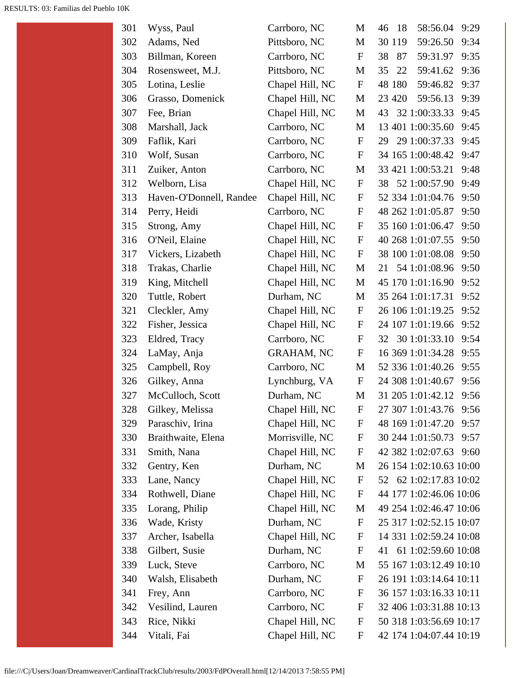| 301 | Wyss, Paul              | Carrboro, NC      | М                | 58:56.04<br>9:29<br>-18<br>46 |
|-----|-------------------------|-------------------|------------------|-------------------------------|
| 302 | Adams, Ned              | Pittsboro, NC     | M                | 59:26.50<br>30 119<br>9:34    |
| 303 | Billman, Koreen         | Carrboro, NC      | $\mathbf F$      | 87<br>59:31.97<br>9:35<br>38  |
| 304 | Rosensweet, M.J.        | Pittsboro, NC     | M                | 59:41.62<br>35<br>22<br>9:36  |
| 305 | Lotina, Leslie          | Chapel Hill, NC   | $\mathbf F$      | 59:46.82<br>9:37<br>48 180    |
| 306 | Grasso, Domenick        | Chapel Hill, NC   | M                | 59:56.13<br>23 4 20<br>9:39   |
| 307 | Fee, Brian              | Chapel Hill, NC   | M                | 32 1:00:33.33<br>9:45<br>43   |
| 308 | Marshall, Jack          | Carrboro, NC      | M                | 13 401 1:00:35.60<br>9:45     |
| 309 | Faflik, Kari            | Carrboro, NC      | $\mathbf{F}$     | 29 1:00:37.33<br>9:45<br>29   |
| 310 | Wolf, Susan             | Carrboro, NC      | $\mathbf F$      | 34 165 1:00:48.42<br>9:47     |
| 311 | Zuiker, Anton           | Carrboro, NC      | М                | 33 421 1:00:53.21<br>9:48     |
| 312 | Welborn, Lisa           | Chapel Hill, NC   | $\mathbf F$      | 38 52 1:00:57.90<br>9:49      |
| 313 | Haven-O'Donnell, Randee | Chapel Hill, NC   | $\mathbf F$      | 52 334 1:01:04.76<br>9:50     |
| 314 | Perry, Heidi            | Carrboro, NC      | $\mathbf{F}$     | 48 262 1:01:05.87<br>9:50     |
| 315 | Strong, Amy             | Chapel Hill, NC   | $\mathbf F$      | 35 160 1:01:06.47<br>9:50     |
| 316 | O'Neil, Elaine          | Chapel Hill, NC   | $\mathbf F$      | 40 268 1:01:07.55<br>9:50     |
| 317 | Vickers, Lizabeth       | Chapel Hill, NC   | $\mathbf F$      | 38 100 1:01:08.08<br>9:50     |
| 318 | Trakas, Charlie         | Chapel Hill, NC   | M                | 54 1:01:08.96<br>9:50<br>21   |
| 319 | King, Mitchell          | Chapel Hill, NC   | M                | 45 170 1:01:16.90<br>9:52     |
| 320 | Tuttle, Robert          | Durham, NC        | M                | 35 264 1:01:17.31<br>9:52     |
| 321 | Cleckler, Amy           | Chapel Hill, NC   | $\mathbf F$      | 26 106 1:01:19.25<br>9:52     |
| 322 | Fisher, Jessica         | Chapel Hill, NC   | $\mathbf F$      | 24 107 1:01:19.66<br>9:52     |
| 323 | Eldred, Tracy           | Carrboro, NC      | $\mathbf F$      | 30 1:01:33.10<br>9:54<br>32   |
| 324 | LaMay, Anja             | <b>GRAHAM, NC</b> | $\mathbf F$      | 16 369 1:01:34.28<br>9:55     |
| 325 | Campbell, Roy           | Carrboro, NC      | M                | 52 336 1:01:40.26<br>9:55     |
| 326 | Gilkey, Anna            | Lynchburg, VA     | $\mathbf F$      | 24 308 1:01:40.67<br>9:56     |
| 327 | McCulloch, Scott        | Durham, NC        | M                | 31 205 1:01:42.12<br>9:56     |
| 328 | Gilkey, Melissa         | Chapel Hill, NC   | $\boldsymbol{F}$ | 27 307 1:01:43.76<br>9:56     |
| 329 | Paraschiv, Irina        | Chapel Hill, NC   | $\mathbf F$      | 48 169 1:01:47.20<br>9:57     |
| 330 | Braithwaite, Elena      | Morrisville, NC   | $\mathbf F$      | 30 244 1:01:50.73<br>9:57     |
| 331 | Smith, Nana             | Chapel Hill, NC   | $\mathbf F$      | 42 382 1:02:07.63<br>9:60     |
| 332 | Gentry, Ken             | Durham, NC        | M                | 26 154 1:02:10.63 10:00       |
| 333 | Lane, Nancy             | Chapel Hill, NC   | $\mathbf F$      | 62 1:02:17.83 10:02<br>52     |
| 334 | Rothwell, Diane         | Chapel Hill, NC   | $\mathbf F$      | 44 177 1:02:46.06 10:06       |
| 335 | Lorang, Philip          | Chapel Hill, NC   | M                | 49 254 1:02:46.47 10:06       |
| 336 | Wade, Kristy            | Durham, NC        | F                | 25 317 1:02:52.15 10:07       |
| 337 | Archer, Isabella        | Chapel Hill, NC   | F                | 14 331 1:02:59.24 10:08       |
| 338 | Gilbert, Susie          | Durham, NC        | $\mathbf F$      | 61 1:02:59.60 10:08<br>41     |
| 339 | Luck, Steve             | Carrboro, NC      | M                | 55 167 1:03:12.49 10:10       |
| 340 | Walsh, Elisabeth        | Durham, NC        | F                | 26 191 1:03:14.64 10:11       |
| 341 | Frey, Ann               | Carrboro, NC      | F                | 36 157 1:03:16.33 10:11       |
| 342 | Vesilind, Lauren        | Carrboro, NC      | $\mathbf F$      | 32 406 1:03:31.88 10:13       |
| 343 | Rice, Nikki             | Chapel Hill, NC   | F                | 50 318 1:03:56.69 10:17       |
| 344 | Vitali, Fai             | Chapel Hill, NC   | F                | 42 174 1:04:07.44 10:19       |